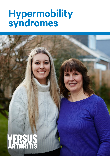# **Hypermobility syndromes**

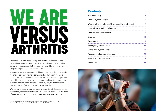# WE ARE VERSUS<br>ARTHRITIS

We're the 10 million people living with arthritis. We're the carers, researchers, health professionals, friends and parents all united in our ambition to ensure that one day, no one will have to live with the pain, fatigue and isolation that arthritis causes.

We understand that every day is different. We know that what works for one person may not help someone else. Our information is a collaboration of experiences, research and facts. We aim to give you everything you need to know about your condition, the treatments available and the many options you can try, so you can make the best and most informed choices for your lifestyle.

We're always happy to hear from you whether it's with feedback on our information, to share your story, or just to find out more about the work of Versus Arthritis. Contact us at **[content@versusarthritis.org](mailto:content@versusarthritis.org)**

Registered office: Versus Arthritis, Copeman House, St Mary's Gate, Chesterfield S41 7TD Registered Charity England and Wales No. 207711, Scotland No. SC041156.

# **Contents**

| Heather's story                                   | 4  |
|---------------------------------------------------|----|
| What is hypermobility?                            | 6  |
| What are the symptoms of hypermobility syndromes? | 7  |
| How will hypermobility affect me?                 | 8  |
| What causes hypermobility?                        | 9  |
| Diagnosis                                         | 10 |
| Treatments                                        | 11 |
| Managing your symptoms                            | 14 |
| Living with hypermobility                         | 17 |
| Research and new developments                     | 23 |
| Where can I find out more?                        | 24 |
| Talk to us                                        | 25 |
|                                                   |    |

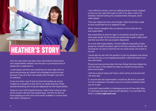# <span id="page-2-0"></span>**HEATHER'S STORY**

Over the years there has been many tears behind closed doors over hypermobility whether it be the pain or just because lots of people don't understand it.

I could always tell there was something not quite right with my joints and growing up I always had a bandage around my knee because it was sore. But most people often thought I just did it for attention.

It was only when I was 13 and my knee had swollen up so bad, I ended up in hospital on bed rest for six weeks that they finally decided something was wrong and diagnosed me with hypermobility.

However, once I left hospital because I hadn't been using my legs all the muscle I did have had wasted away. This left me with my knee popping out even more and overall, probably in a worse state than when I had gone in.

I was referred to physio, once my walking had got so bad, I popped my hip out, but I was told to get on with it. So, when I was in my twenties I started looking into complementary therapies, which really helped.

They also helped me work, even though I often found that a week at work would lead me to a weekend in bed.

When I had my daughter Mia, we started to notice that she too was hypermobile.

She would often sit with her legs in a W position and all her joints were super bendy. By 18 months we noticed she couldn't really stand and that was when she was properly diagnosed.

As a mum with hypermobility, I found it difficult, especially at baby groups as I wouldn't be able to get on the floor and play with her and carrying her car seat to and from the car would cause a lot of pain in my arm.

I would also be met with the question of why my daughter was sitting the way she was, so we stopped going after a while and spent more time with family.

Physio and exercise have been the main things that have helped me over the years. It has helped me keep my muscles strong and my joints more stable.

I still see a physio today and I have a short series of exercises that I do every day.

To anyone who has hypermobility I would say: Be kind to yourself; it is not a weakness to be able to say no to certain situations when you are in pain.

Living with hypermobility is challenging and we all have dark days. Try and keep strong by exercise and relaxation. I try and follow the three L's! **Live! Laugh and Love!**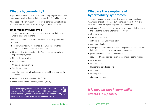# <span id="page-3-0"></span>**What is hypermobility?**

Hypermobility means you can move some or all your joints more than most people can. It is thought that hypermobility affects 1 in 4 people.

Most people who are hypermobile won't experience any difficulties and it can even be seen as an advantage in sports and dance.

# **Hypermobility syndromes**

Hypermobility, however, can cause some people pain, fatigue, and injuries to joints and ligaments.

When this happens, it can indicate someone has a hypermobility syndrome.

The term 'hypermobility syndromes' is an umbrella term that includes lots of different conditions including:

- Hypermobility Spectrum Disorder (previously known as joint hypermobility syndrome)
- Ehlers–Danlos syndrome
- Marfan syndrome
- Osteogenesis Imperfecta
- Stickler syndrome

In this information we will be focusing on two of the hypermobility syndromes:

- Hypermobility Spectrum Disorder (HSD)
- Hypermobile Ehlers–Danlos syndrome (hEDS)

The following organisations offer further information and support for people with hypermobility syndromes: Hypermobility Syndromes Association **[www.hypermobility.org](http://www.hypermobility.org)** Ehlers–Danlos Support UK **[www.ehlers-danlos.org](http://www.ehlers-danlos.org)**

# **What are the symptoms of hypermobility syndromes?**

Hypermobility can cause a range of symptoms that often affect many parts of the body. These symptoms can range from mild to severe and can have a great impact on someone's life:

- pain and stiffness in the joints and muscles particularly towards the end of the day and after physical activity
- clicking joints
- back and neck pain
- extreme tiredness, known as fatigue
- poor co-ordination
- some people find it difficult to sense the position of a joint without being able to see it, also known as proprioception
- joint dislocations or partial dislocations
- regular soft tissue injuries such as sprains and sports injuries
- easy bruising
- stomach pain
- bladder and bowel problems
- dizziness
- stretchy skin
- abnormal scarring.

# *It is thought that hypermobility affects 1 in 4 people.*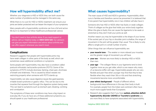# <span id="page-4-0"></span>**How will hypermobility affect me?**

Whether your diagnosis is HSD or hEDS they can both cause the same number of problems and be managed in the same way.

While there is no cure for HSD or hEDS, treatment can ensure your joints are better protected and can lessen the impact of your symptoms.

Many people with a hypermobility syndrome can live a full and active life but it is important to follow healthcare professionals' advice.

You don't need to face arthritis alone. If you need support or advice, call our Helpline today on **0800 5200 520**. Our advisors can give you expert information and advice about arthritis and can offer support whenever you need it most.

### **Complications**

Research suggests that people with hypermobile joints may have weak collagen in other parts of the body as well, which can sometimes cause additional conditions or symptoms.

Some people with hypermobility may also have a condition called postural orthostatic tachycardia syndrome (POTS). Some of the symptoms of POTS include dizziness, fainting, chest pain, shortness of breath and shakiness. This is caused by blood vessels not restricting properly when someone with POTS stands up.

Hypermobility can also cause digestive issues like gastroparesis, irritable bowel syndrome or gastric reflux. This can be due to the muscles that squeeze food through the digestive system being weak. This can lead to symptoms such as stomach pain, bloating, vomiting and constipation.

The symptoms of these rarer conditions may have a big impact on everyday life. If you do have any of these additional symptoms you should speak to your healthcare professional.

# **What causes hypermobility?**

The main cause of HSD and hEDS is genetics. Hypermobility often runs in families and therefore cannot be prevented. It is believed that if one parent has hypermobility one in two children will also have it.

Someone who has HSD or hEDS often has faulty or weak collagen. Think of collagen as the glue that holds your entire body together. When this glue is faulty this can cause the ligaments to be weak or stretched so they don't hold your joints as well.

Another reason you may be hypermobile is the shape of your bones. If the socket part of your hip or shoulder joint is shallow, the range of movement in the joint will be greater than usual. This is likely to only affect a single joint or a small number of joints.

Other things that can influence hypermobility are:

- **• your muscle tone** The weaker or more relaxed your muscles are the greater range of movement you will have.
- **• your sex** Women are more likely to develop HSD or hEDS than men.
- **• your age** The collagen fibres in your ligaments tend to bind together more as you get older, which is one reason why many of us become stiffer with age. Hypermobile people who are very flexible and pain-free when younger may find that they're less flexible when they reach their 30s or 40s and that stretching movements become more uncomfortable.
- **• your ethnic background** People of different ethnic backgrounds have differences in the way their body is built. For example, people from the Indian sub-continent often have much more supple hands than Europeans.
- Research also suggests that if you have **autism, attention deficit hyperactivity disorder (ADHD) or Tourette's syndrome** you are more likely to have symptoms associated with hypermobility.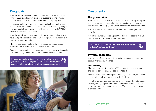# <span id="page-5-0"></span>**Diagnosis**

Your doctor will be able to make a diagnosis of whether you have HSD or hEDS by asking you a series of questions, taking a family history, ruling out other conditions and examining your joints.

In the examination your doctor will want to check how mobile your joints are and will ask you questions such as "while standing can you put your hands flat on the ground with your knees straight?" This is to work out how flexible you are.

Your doctor will also assess how much pain you are in, whether you have had joint dislocations and how you judge where your body is in relation to things around it.

They will also see if you have flat feet, misaligned bones in your elbows or toes or if you have a curvature of the spine.

Depending on the outcome of these tests you may receive a diagnosis of Hypermobility Spectrum Disorder or Ehlers–Danlos syndrome.

If you're waiting for a diagnosis, there are plenty of ways you can help to manage your symptoms. For advice, visit **[versusarthritis.org/about-arthritis/managing-symptoms/](http://www.versusarthritis.org/about-arthritis/managing-symptoms/)**



# **Treatments**

#### **Drugs overview**

Painkillers such as paracetamol can help ease your joint pain. If your joint, often swells up, especially after a dislocation, a non-steroidal anti-inflammatory drug (NSAID) such as ibuprofen can also be used.

Both paracetamol and ibuprofen are available in tablet, gel, and spray form.

If you find your pain isn't being controlled by these options your GP may be able to prescribe stronger painkillers.

For more information, visit **[versusarthritis.org/about](http://www.versusarthritis.org/about-arthritis/treatments/drugs/)[arthritis/treatments/drugs/](http://www.versusarthritis.org/about-arthritis/treatments/drugs/)**

### **Physical therapies**

You may be referred to a physiotherapist, occupational therapist or podiatrist for specialist advice.

#### **Physiotherapy**

The main treatment for HSD or hEDS is improving muscle strength and fitness, so your joints are better protected.

Physical therapy can reduce pain, improve your strength, fitness and balance which will help reduce the risk of dislocations.

Hydrotherapy can also help strengthen your joints. The water takes the weight off your joints and the therapy pools are heated which help relax your muscles and relieve pain. This makes physiotherapy exercises easier.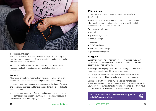

#### **Occupational therapy**

You may be referred to an occupational therapist who will help you maintain your independence. They can advise on gadgets and tools that can make your life easier.

An occupational therapist can also show you how to use splints, tape and elasticated bandages which can help protect against dislocations.

#### **Podiatry**

Many people who have hypermobility have either a low arch or are flat footed which can cause pain and problems when walking.

Hypermobility in your feet can also increase the likelihood of strains and sprains in your foot, and for this reason it may be a good idea to see a podiatrist.

A podiatrist can assess your feet and walking and give you a pair of insoles that can help support your feet. These insoles will reduce the movements of your feet, helping to prevent injury.

## **Pain clinics**

If your pain is not getting better your doctor may refer you to a pain clinic.

Pain clinics can offer you treatments that your GP is unable to. They aim to support you to develop your own self-help skills as well as control and relieve your pain.

Treatments may include:

- medicine
- pain relief injections
- manual therapy
- exercise
- TENS machines
- complementary therapy
- psychological therapy.

### **Surgery**

Surgery on your joints is not normally recommended if you have hypermobility. This is because the tissue in and around the joint doesn't usually heal very well.

Some hypermobile people can also bruise easily, and they may need more blood transfusions if they have major surgery.

However, if you tear a tendon, which is more likely if you have hypermobility, then this will usually be repaired with surgery.

Some people with hypermobility are also resistant to local anaesthetics either as topical creams or injections. It is important for your dentist or your doctor to know your hypermobile so if you have problems with local anaesthetics, they know what to do.

For more information, visit **[versusarthritis.org/about](http://www.versusarthritis.org/about-arthritis/treatments/surgery/)[arthritis/treatments/surgery/](http://www.versusarthritis.org/about-arthritis/treatments/surgery/)**

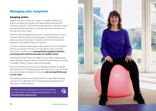# **Managing your symptoms**

#### **Keeping active**

Regular exercise is important as part of a healthy lifestyle, and there's no reason why people with hypermobile joints shouldn't exercise. However, if you find that certain sports or exercises involve movements that cause pain, you should stop these activities until it's clear why there is pain.

With the right strengthening exercises, it may be possible to return to these activities without increasing pain. A physiotherapist can advise you about exercises to improve control of the movements required in your preferred sport or exercise.

You don't need any special gear to get started, and a lot of physical activity can be done at home. For more advice, check out these exercises for healthy joints **versusarthritis.org/about-arthritis/ exercising-with-arthritis/exercises-for-healthy-joints/**

Swimming can help, where the weight of your body is supported by water, although breaststroke can irritate the knee and hip, so it's best to paddle the legs. Cycling is also recommended.

We run activities across the country specially designed for people with arthritis, such as walking groups and Chair Chi. To see if we host any physical activity classes in your area, **visit versusarthritis.org/ in-your-area/**

Alongside physical exercise other methods of pain relief may help such as hot or cold packs and a transcutaneous electrical nerve stimulation (TENS) machine.

For more advice on getting some more movement in your life, check out our Keep moving booklet or visit **[versusarthritis.org/exercise](http://www.versusarthritis.org/exercise)**



<span id="page-7-0"></span>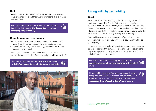#### <span id="page-8-0"></span>**Diet**

There's no single diet that will help everyone with hypermobility. However, some people find that making changes to their diet helps their symptoms.

For more information, see our Eating well with arthritis booklet or visit **[versusarthritis.org/about-arthritis/](http://www.versusarthritis.org/about-arthritis/managing-symptoms/diet/) [managing-symptoms/diet/](http://www.versusarthritis.org/about-arthritis/managing-symptoms/diet/)**

# $\bigoplus_{\mathbf{k}}$

#### **Complementary treatments**

Complementary treatments such as acupuncture can be useful. However, they should not replace your prescribed medicines and you should talk to your rheumatology team before starting a complementary treatment.

Generally complementary treatments aren't considered to be evidence-based and are therefore not usually available on the NHS.

For more information, visit **[versusarthritis.org/about](http://www.versusarthritis.org/about-arthritis/complementary-and-alternative-treatments)[arthritis/complementary-and-alternative-treatments](http://www.versusarthritis.org/about-arthritis/complementary-and-alternative-treatments)**





# **Living with hypermobility**

#### **Work**

Anyone working with a disability in the UK has a right to equal treatment at work. The Equality Act 2010 protects you from discrimination if you are in England, Scotland and Wales. The 1995 Disability Discrimination Act covers this if you live in Northern Ireland. This also means that your employer should work with you to make the workplace accessible to you by making 'reasonable adjustments'.

Reasonable adjustments can be anything from adjusting your working hours or providing you with special equipment that helps you do your job.

If your employer can't make all the adjustments you need, you may be able to get help through Access to Work. This can cover grants to pay for equipment or adaptations, support workers to help you, or help to get to and from work.

For more information on working with arthritis, visit **[versusarthritis.org/about-arthritis/living-with-arthritis/](http://www.versusarthritis.org/about-arthritis/living-with-arthritis/work ) [work](http://www.versusarthritis.org/about-arthritis/living-with-arthritis/work )** 

Hypermobility can also affect younger people. If you're facing different challenges at school and university, there's support in place to help you. For tips and advice, visit **[versusarthritis.org/about-arthritis/young-people](http://www.versusarthritis.org/about-arthritis/young-people)**

17 and 17 versus and 17 versus and 17 versus and 17 versus and 17 versus and 17 versus and 17 versus and 17 versus and 17 versus and 17 versus and 17 versus and 17 versus and 17 versus and 17 versus and 17 versus and 17 ve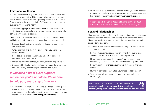#### **Emotional wellbeing**

Studies have shown that you are more likely to suffer from anxiety if you have hypermobility. This along with living with a long-term health condition can cause feelings of depression due to the pain, fatigue, and the disruption to daily life. Therefore, it is important to take care of your mental health.

If you are struggling it is important to reach out to a healthcare professional as they may be able to refer you to a psychologist who can help with coping strategies.

There are also plenty of small ways you can look after your mental wellbeing and build emotional resilience. For instance, you could:

- Practice deep breathing or mindful meditation to help reduce any anxiety you may have.
- Write your thoughts down in a diary to help you make sense of your emotions.
- Keep active exercise can give you a boost of feel-good hormones called endorphins.
- Make time for activities that you enjoy, or which help you relax.
- Connect with friends grab a coffee with a friend, have a phone call with a family member or join an online community.

# *If you need a bit of extra support, remember you're not alone. We're here to help you, every step of the way.*

• You might find it helpful to join a Versus Arthritis support group where you can connect with like-minded people and talk about what you're going through. To see if we run a local support group in your area visit **versusarthritis.org/in-your-area/**

• Or you could join our Online Community where you could connect with real people who share the same everyday experiences as you. For more information visit **community.versusarthritis.org**

You can also call the Versus Arthritis Helpline for free on **0800 5200 520**, where our trained advisors can lend a listening ear.

#### **Sex and relationships**

Most couples – whether they have hypermobility or not – go through phases when their sex life is less exciting or satisfying than it was. There may be physical reasons for this, but emotional factors and stress often play a part.

Hypermobility can present a number of challenges in a relationship, including the following:

- Pain and fatigue may reduce your enjoyment of sex, and other activities and interests that you share with your partner.
- Hypermobility may mean that you can't always manage the household jobs you usually do, or you may need help with them.
- If your hypermobility affects your work, it may lead to financial worries.
- Having hypermobility may affect your mood and self-esteem.
- Your partner will be concerned about how the condition is affecting you.

For more advice, check out our Sex, relationships and arthritis booklet or visit **[versusarthritis.org/about](http://www.versusarthritis.org/about-arthritis/living-with-arthritis/sex-relationships-and-arthritis/)[arthritis/living-with-arthritis/sex-relationships-and-arthritis/](http://www.versusarthritis.org/about-arthritis/living-with-arthritis/sex-relationships-and-arthritis/)**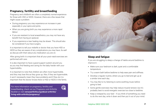# **Pregnancy, fertility and breastfeeding**

Pregnancy and childbirth are often a completely normal experience for those with HSD or hEDS. However, there are a few issues that might cause a problem:

- During pregnancy you may experience an increase in pain especially in your spine and joints.
- When you are giving birth you may experience a more rapid labour.
- If you are resistant to local anaesthetics, you may not have any benefit from having an epidural.
- If you experience a tear healing may be slower. This should also be considered if you have surgery.

It is important to tell your midwife or doctor that you have HSD or hEDS so they are aware of any complications you may have. As well as discuss with them about any medication you are on.

After giving birth it is important that all your post-natal exercises are performed with care.

It is also important to have a good support system around you as you may find feeding and caring for the baby harder with your hypermobility.

It is important to note that children are often more hypermobile, and they may lose this as they grow up. Also, if they are hypermobile, it won't necessarily mean they have problems and if they do it is important that the doctor knows there is HSD or hEDS in the family.

For more information on pregnancy, fertility and breastfeeding, check out our Pregnancy and Arthritis Booklet or visit **[versusarthritis.org/about-arthritis/](http://www.versusarthritis.org/about-arthritis/living-with-arthritis/pregnancy/) [living-with-arthritis/pregnancy/](http://www.versusarthritis.org/about-arthritis/living-with-arthritis/pregnancy/)**





### **Sleep and fatigue**

If you are struggling to sleep a change of habits around bedtime to improve it:

- Make sure your bedroom is dark, quiet and a comfortable temperature.
- Try a warm bath before bedtime to help ease pain and stiffness.
- Develop a regular routine, where you go to bed and get up at a similar time each day.
- You may like to try listening to some soothing music before going to bed.
- Some gentle exercises may help reduce muscle tension, but it's probably best to avoid energetic exercise too close to bedtime.
- Keep a notepad by your bed if you think of something you need to do the next day, write it down and then put it out of your mind.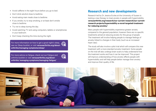- <span id="page-11-0"></span>• Avoid caffeine in the eight hours before you go to bed.
- Don't drink alcohol close to bedtime.
- Avoid eating main meals close to bedtime.
- If you smoke, try to stop smoking, or at least don't smoke close to bedtime.
- Try not to sleep during the day.
- Avoid watching TV and using computers, tablets or smartphones in your bedroom.
- Don't keep checking the time during the night.

For more information on how to get a good night's sleep, see our Sleep booklet, or visit **[versusarthritis.org/about](http://www.versusarthritis.org/about-arthritis/managing-symptoms/sleep/)[arthritis/managing-symptoms/sleep/](http://www.versusarthritis.org/about-arthritis/managing-symptoms/sleep/)**

For more advice on fatigue, check out our Fatigue and arthritis booklet or visit **[versusarthritis.org/about](http://www.versusarthritis.org/about-arthritis/managing-symptoms/managing-fatigue/)[arthritis/ managing-symptoms/managing-fatigue/](http://www.versusarthritis.org/about-arthritis/managing-symptoms/managing-fatigue/)**



# **Research and new developments**

Research led by Dr Jessica Eccles at the University of Sussex is testing a new therapy to treat anxiety in people with hypermobility: **[versusarthritis.org/research/our-current-research/our-current](https://www.versusarthritis.org/research/our-current-research/our-current-research-projects/hypermobility-a-novel-targeted-treatment-for-reducing-anxiety/)[research-projects/hypermobility-a-novel-targeted-treatment](https://www.versusarthritis.org/research/our-current-research/our-current-research-projects/hypermobility-a-novel-targeted-treatment-for-reducing-anxiety/)[for-reducing-anxiety/](https://www.versusarthritis.org/research/our-current-research/our-current-research-projects/hypermobility-a-novel-targeted-treatment-for-reducing-anxiety/)**

Many people with hypermobility experience greater anxiety compared to the general population, however there are no specific treatments aimed at reducing anxiety for this group of people. The treatment will involve helping people to manage feelings of anxiety linked to changes in their body (such as an increased heart rate).

The study will also involve a pilot trial which will compare this new treatment with a more standard anxiety treatment. Some people on the trial will also undergo brain scans to help understand how the treatment works and how it can be improved. This project will improve understanding of how anxiety effects people with hypermobility and will help people better manage their anxiety and improve their quality of life.

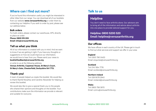# <span id="page-12-0"></span>**Where can I find out more?**

If you've found this information useful, you might be interested in other titles from our range. You can download all of our booklets from our website **[www.versusarthritis.org](http://www.versusarthritis.org)** or order them by contacting our Helpline. If you wish to order by post, please see our address below.

#### **Bulk orders**

For bulk orders, please contact our warehouse, APS, directly to place an order:

**Phone: 0800 515 209 Email: [info@versusarthritis.org](mailto:info@versusarthritis.org)**

# **Tell us what you think**

All of our information is created with you in mind. And we want to know if we are getting it right. If you have any thoughts or suggestions on how we could improve our information. we would love to hear from you. Please send your views to **[bookletfeedback@versusarthritis.org](mailto:bookletfeedback@versusarthritis.org)**

or write to us at the following address: **Versus Arthritis, Copeman House, St Mary's Court, St Mary's Gate, Chesterfield, Derbyshire S41 7TD.**

# **Thank you!**

A team of people helped us create this booklet. We would like to thank Rachel Murphey and Caroline Alexander for helping us review this booklet.

We would also like to give a special thank you to the people who shared their opinions and thoughts on the booklet. Your contributions make sure the information we provide is relevant and suitable for everyone.

# **Talk to us**

# **Helpline**

You don't need to face arthritis alone. Our advisors aim to bring all of the information and advice about arthritis into one place to provide tailored support for you.

**Helpline: 0800 5200 520 Email: [helpline@versusarthritis.org](mailto:helpline@versusarthritis.org)**

# **Our offices**

We have offices in each country of the UK. Please get in touch to find out what services and support we offer in your area:

#### **England**

Tel: 0300 790 0400 Email: [enquiries@versusarthritis.org](mailto:enquiries@versusarthritis.org)

#### **Scotland**

Tel: 0141 954 7776 Email: [scotland@versusarthritis.org](mailto:scotland@versusarthritis.org)

**Northern Ireland** Tel: 028 9078 2940 Email: [nireland@versusarthritis.org](mailto:nireland@versusarthritis.org)

#### **Wales**

Tel: 0800 756 3970 Email: [cymru@versusarthritis.org](mailto:cymru@versusarthritis.org)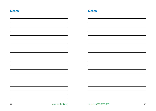| <b>Notes</b> |                     | <b>Notes</b>           |    |
|--------------|---------------------|------------------------|----|
|              |                     |                        |    |
|              |                     |                        |    |
|              |                     |                        |    |
|              |                     |                        |    |
|              |                     |                        |    |
|              |                     |                        |    |
|              |                     |                        |    |
|              |                     |                        |    |
|              |                     |                        |    |
|              |                     |                        |    |
|              |                     |                        |    |
|              |                     |                        |    |
|              |                     |                        |    |
| 26           | versusarthritis.org | Helpline 0800 5200 520 | 27 |